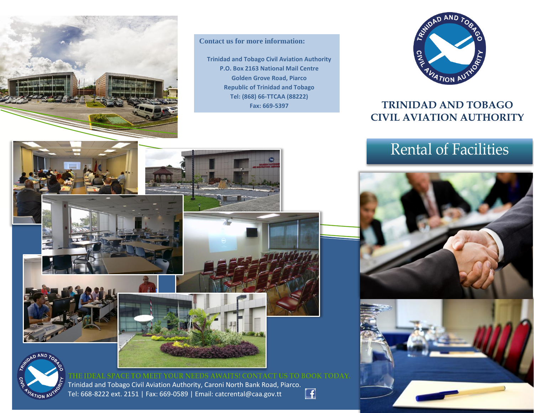

**Contact us for more information:**

**Trinidad and Tobago Civil Aviation Authority P.O. Box 2163 National Mail Centre Golden Grove Road, Piarco Republic of Trinidad and Tobago Tel: (868) 66-TTCAA (88222) Fax: 669-5397**



### **TRINIDAD AND TOBAGO CIVIL AVIATION AUTHORITY**

## Rental of Facilities









THE IDEAL SPACE TO MEET YOUR NEEDS AWAITS! CONTACT US TO BOOK TODAY. Trinidad and Tobago Civil Aviation Authority, Caroni North Bank Road, Piarco.  $\Box$ Tel: 668-8222 ext. 2151 | Fax: 669-0589 | Email: catcrental@caa.gov.tt